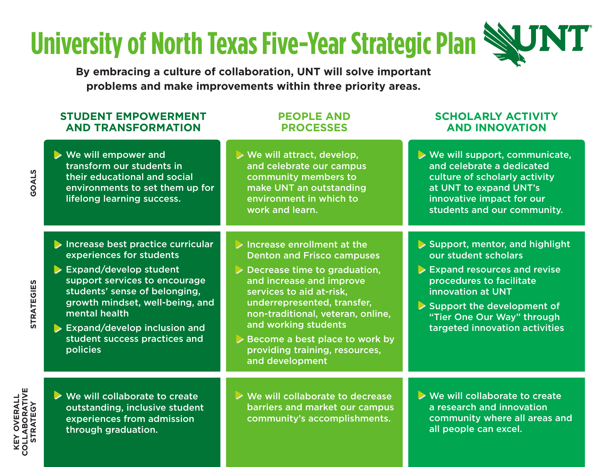# **University of North Texas Five-Year Strategic Plan**

**By embracing a culture of collaboration, UNT will solve important problems and make improvements within three priority areas.**

#### **STUDENT EMPOWERMENT AND TRANSFORMATION**

#### **PEOPLE AND PROCESSES**

### **SCHOLARLY ACTIVITY AND INNOVATION**

We will empower and transform our students in their educational and social environments to set them up for lifelong learning success. Increase best practice curricular experiences for students Expand/develop student support services to encourage students' sense of belonging, growth mindset, well-being, and mental health Expand/develop inclusion and student success practices and policies ▶ We will collaborate to create outstanding, inclusive student experiences from admission through graduation. **▶ We will attract, develop,** and celebrate our campus community members to make UNT an outstanding environment in which to work and learn.  $\triangleright$  Increase enrollment at the Denton and Frisco campuses **Decrease time to graduation,** and increase and improve services to aid at-risk, underrepresented, transfer, non-traditional, veteran, online, and working students Become a best place to work by providing training, resources, and development We will collaborate to decrease barriers and market our campus community's accomplishments. We will support, communicate, and celebrate a dedicated culture of scholarly activity at UNT to expand UNT's innovative impact for our students and our community.  $\triangleright$  Support, mentor, and highlight our student scholars Expand resources and revise procedures to facilitate innovation at UNT  $\triangleright$  Support the development of "Tier One Our Way" through targeted innovation activities We will collaborate to create a research and innovation community where all areas and all people can excel.